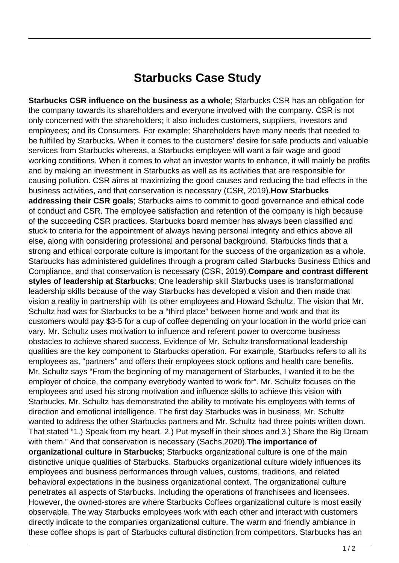## **Starbucks Case Study**

**Starbucks CSR influence on the business as a whole**; Starbucks CSR has an obligation for the company towards its shareholders and everyone involved with the company. CSR is not only concerned with the shareholders; it also includes customers, suppliers, investors and employees; and its Consumers. For example; Shareholders have many needs that needed to be fulfilled by Starbucks. When it comes to the customers' desire for safe products and valuable services from Starbucks whereas, a Starbucks employee will want a fair wage and good working conditions. When it comes to what an investor wants to enhance, it will mainly be profits and by making an investment in Starbucks as well as its activities that are responsible for causing pollution. CSR aims at maximizing the good causes and reducing the bad effects in the business activities, and that conservation is necessary (CSR, 2019).**How Starbucks addressing their CSR goals**; Starbucks aims to commit to good governance and ethical code of conduct and CSR. The employee satisfaction and retention of the company is high because of the succeeding CSR practices. Starbucks board member has always been classified and stuck to criteria for the appointment of always having personal integrity and ethics above all else, along with considering professional and personal background. Starbucks finds that a strong and ethical corporate culture is important for the success of the organization as a whole. Starbucks has administered guidelines through a program called Starbucks Business Ethics and Compliance, and that conservation is necessary (CSR, 2019).**Compare and contrast different styles of leadership at Starbucks**; One leadership skill Starbucks uses is transformational leadership skills because of the way Starbucks has developed a vision and then made that vision a reality in partnership with its other employees and Howard Schultz. The vision that Mr. Schultz had was for Starbucks to be a "third place" between home and work and that its customers would pay \$3-5 for a cup of coffee depending on your location in the world price can vary. Mr. Schultz uses motivation to influence and referent power to overcome business obstacles to achieve shared success. Evidence of Mr. Schultz transformational leadership qualities are the key component to Starbucks operation. For example, Starbucks refers to all its employees as, "partners" and offers their employees stock options and health care benefits. Mr. Schultz says "From the beginning of my management of Starbucks, I wanted it to be the employer of choice, the company everybody wanted to work for". Mr. Schultz focuses on the employees and used his strong motivation and influence skills to achieve this vision with Starbucks. Mr. Schultz has demonstrated the ability to motivate his employees with terms of direction and emotional intelligence. The first day Starbucks was in business, Mr. Schultz wanted to address the other Starbucks partners and Mr. Schultz had three points written down. That stated "1.) Speak from my heart. 2.) Put myself in their shoes and 3.) Share the Big Dream with them." And that conservation is necessary (Sachs,2020).**The importance of organizational culture in Starbucks**; Starbucks organizational culture is one of the main distinctive unique qualities of Starbucks. Starbucks organizational culture widely influences its employees and business performances through values, customs, traditions, and related behavioral expectations in the business organizational context. The organizational culture penetrates all aspects of Starbucks. Including the operations of franchisees and licensees. However, the owned-stores are where Starbucks Coffees organizational culture is most easily observable. The way Starbucks employees work with each other and interact with customers directly indicate to the companies organizational culture. The warm and friendly ambiance in these coffee shops is part of Starbucks cultural distinction from competitors. Starbucks has an